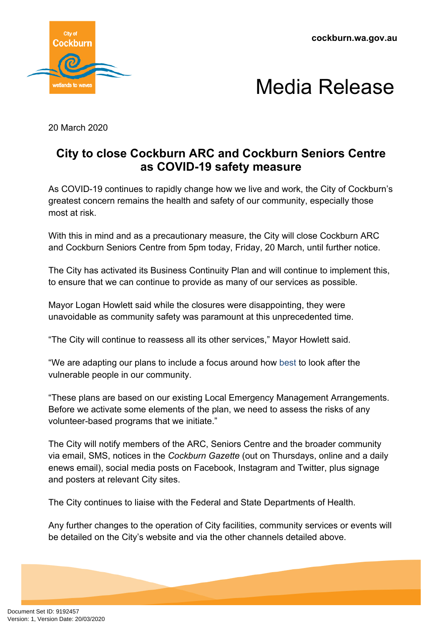**cockburn.wa.gov.au**





20 March 2020

## **City to close Cockburn ARC and Cockburn Seniors Centre as COVID-19 safety measure**

As COVID-19 continues to rapidly change how we live and work, the City of Cockburn's greatest concern remains the health and safety of our community, especially those most at risk.

With this in mind and as a precautionary measure, the City will close Cockburn ARC and Cockburn Seniors Centre from 5pm today, Friday, 20 March, until further notice.

The City has activated its Business Continuity Plan and will continue to implement this, to ensure that we can continue to provide as many of our services as possible.

Mayor Logan Howlett said while the closures were disappointing, they were unavoidable as community safety was paramount at this unprecedented time.

"The City will continue to reassess all its other services," Mayor Howlett said.

"We are adapting our plans to include a focus around how best to look after the vulnerable people in our community.

"These plans are based on our existing Local Emergency Management Arrangements. Before we activate some elements of the plan, we need to assess the risks of any volunteer-based programs that we initiate."

The City will notify members of the ARC, Seniors Centre and the broader community via email, SMS, notices in the *Cockburn Gazette* (out on Thursdays, online and a daily enews email), social media posts on Facebook, Instagram and Twitter, plus signage and posters at relevant City sites.

The City continues to liaise with the Federal and State Departments of Health.

Any further changes to the operation of City facilities, community services or events will be detailed on the City's website and via the other channels detailed above.